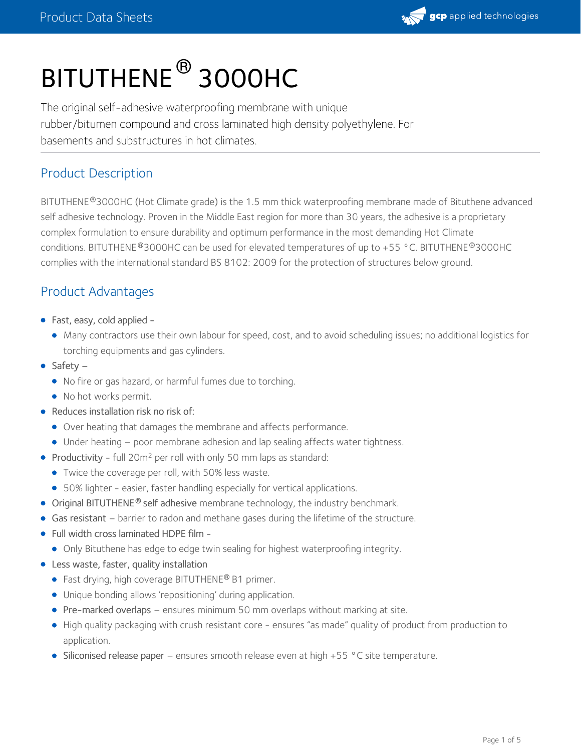

# BITUTHENE ® 3000HC

The original self-adhesive waterproofing membrane with unique rubber/bitumen compound and cross laminated high density polyethylene. For basements and substructures in hot climates.

#### Product Description

BITUTHENE®3000HC (Hot Climate grade) is the 1.5 mm thick waterproofing membrane made of Bituthene advanced self adhesive technology. Proven in the Middle East region for more than 30 years, the adhesive is a proprietary complex formulation to ensure durability and optimum performance in the most demanding Hot Climate conditions. BITUTHENE  $^\circledR$ 3000HC can be used for elevated temperatures of up to +55 °C. BITUTHENE  $^\circledR$ 3000HC complies with the international standard BS 8102: 2009 for the protection of structures below ground.

# Product Advantages

- Fast, easy, cold applied
	- Many contractors use their own labour for speed, cost, and to avoid scheduling issues; no additional logistics for torching equipments and gas cylinders.
- $\bullet$  Safety
	- No fire or gas hazard, or harmful fumes due to torching.
	- No hot works permit.
- Reduces installation risk no risk of:
	- Over heating that damages the membrane and affects performance.
	- Under heating poor membrane adhesion and lap sealing affects water tightness.
- Productivity full  $20m^2$  per roll with only 50 mm laps as standard:
	- Twice the coverage per roll, with 50% less waste.
	- 50% lighter easier, faster handling especially for vertical applications.
- **•** Original BITUTHENE<sup>®</sup> self adhesive membrane technology, the industry benchmark.
- Gas resistant barrier to radon and methane gases during the lifetime of the structure.
- Full width cross laminated HDPE film
	- Only Bituthene has edge to edge twin sealing for highest waterproofing integrity.
- Less waste, faster, quality installation
	- Fast drying, high coverage BITUTHENE<sup>®</sup> B1 primer.
	- Unique bonding allows 'repositioning' during application.
	- Pre-marked overlaps ensures minimum 50 mm overlaps without marking at site.
	- High quality packaging with crush resistant core ensures "as made" quality of product from production to application.
	- Siliconised release paper ensures smooth release even at high +55 °C site temperature.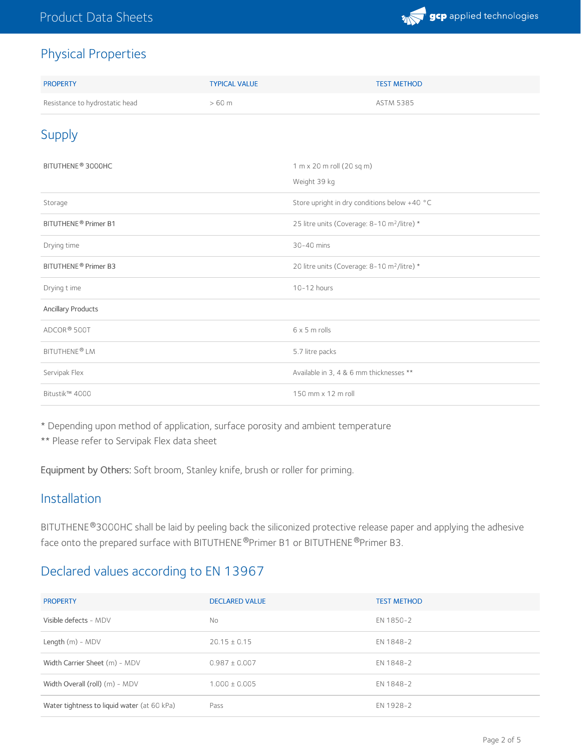

#### Physical Properties

| <b>PROPERTY</b>                  | <b>TYPICAL VALUE</b> | <b>TEST METHOD</b>                                      |
|----------------------------------|----------------------|---------------------------------------------------------|
| Resistance to hydrostatic head   | $>60$ m              | <b>ASTM 5385</b>                                        |
| <b>Supply</b>                    |                      |                                                         |
| BITUTHENE <sup>®</sup> 3000HC    |                      | 1 m x 20 m roll (20 sq m)                               |
|                                  |                      | Weight 39 kg                                            |
| Storage                          |                      | Store upright in dry conditions below +40 °C            |
| BITUTHENE® Primer B1             |                      | 25 litre units (Coverage: 8-10 m <sup>2</sup> /litre) * |
| Drying time                      |                      | 30-40 mins                                              |
| BITUTHENE <sup>®</sup> Primer B3 |                      | 20 litre units (Coverage: 8-10 m <sup>2</sup> /litre) * |
| Drying t ime                     |                      | 10-12 hours                                             |
| <b>Ancillary Products</b>        |                      |                                                         |
| ADCOR <sup>®</sup> 500T          |                      | $6 \times 5$ m rolls                                    |
| BITUTHENE®LM                     |                      | 5.7 litre packs                                         |
| Servipak Flex                    |                      | Available in 3, 4 & 6 mm thicknesses **                 |
| Bitustik™ 4000                   |                      | 150 mm x 12 m roll                                      |

\* Depending upon method of application, surface porosity and ambient temperature

\*\* Please refer to Servipak Flex data sheet

Equipment by Others: Soft broom, Stanley knife, brush or roller for priming.

#### Installation

BITUTHENE®3000HC shall be laid by peeling back the siliconized protective release paper and applying the adhesive face onto the prepared surface with BITUTHENE®Primer B1 or BITUTHENE®Primer B3.

#### Declared values according to EN 13967

| <b>PROPERTY</b>                             | <b>DECLARED VALUE</b> | <b>TEST METHOD</b> |
|---------------------------------------------|-----------------------|--------------------|
| Visible defects - MDV                       | No                    | EN 1850-2          |
| Length $(m)$ - MDV                          | $20.15 \pm 0.15$      | EN 1848-2          |
| Width Carrier Sheet (m) - MDV               | $0.987 \pm 0.007$     | EN 1848-2          |
| Width Overall (roll) (m) - MDV              | $1.000 \pm 0.005$     | EN 1848-2          |
| Water tightness to liquid water (at 60 kPa) | Pass                  | EN 1928-2          |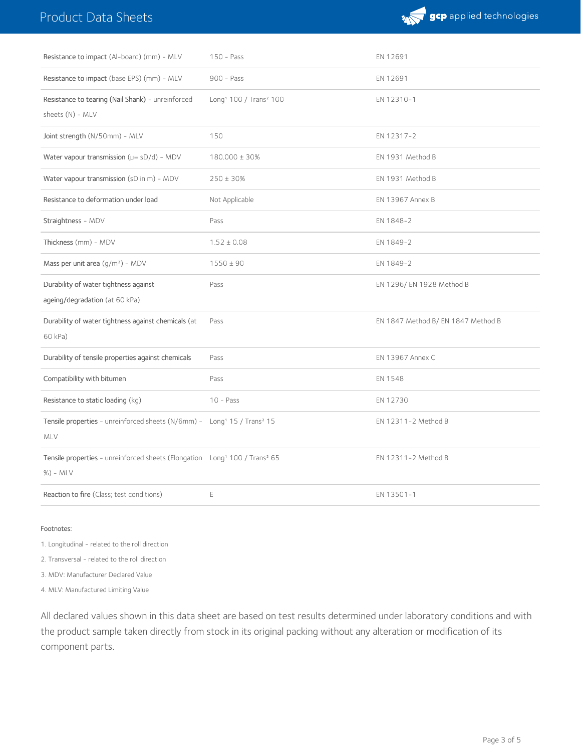# Product Data Sheets



| Resistance to impact (Al-board) (mm) - MLV                                                                        | $150 - Pass$                                   | EN 12691                           |
|-------------------------------------------------------------------------------------------------------------------|------------------------------------------------|------------------------------------|
| Resistance to impact (base EPS) (mm) - MLV                                                                        | $900 - Pass$                                   | EN 12691                           |
| Resistance to tearing (Nail Shank) - unreinforced<br>sheets (N) - MLV                                             | Long <sup>1</sup> 100 / Trans <sup>2</sup> 100 | EN 12310-1                         |
| Joint strength (N/50mm) - MLV                                                                                     | 150                                            | EN 12317-2                         |
| Water vapour transmission $(\mu = sD/d)$ - MDV                                                                    | 180.000 ± 30%                                  | EN 1931 Method B                   |
| Water vapour transmission (sD in m) - MDV                                                                         | $250 \pm 30\%$                                 | EN 1931 Method B                   |
| Resistance to deformation under load                                                                              | Not Applicable                                 | <b>EN 13967 Annex B</b>            |
| Straightness - MDV                                                                                                | Pass                                           | EN 1848-2                          |
| Thickness (mm) - MDV                                                                                              | $1.52 \pm 0.08$                                | EN 1849-2                          |
| Mass per unit area $(g/m^2)$ - MDV                                                                                | $1550 \pm 90$                                  | EN 1849-2                          |
| Durability of water tightness against<br>ageing/degradation (at 60 kPa)                                           | Pass                                           | EN 1296/EN 1928 Method B           |
| Durability of water tightness against chemicals (at<br>60 kPa)                                                    | Pass                                           | EN 1847 Method B/ EN 1847 Method B |
| Durability of tensile properties against chemicals                                                                | Pass                                           | <b>EN 13967 Annex C</b>            |
| Compatibility with bitumen                                                                                        | Pass                                           | EN 1548                            |
| Resistance to static loading (kg)                                                                                 | $10 - Pass$                                    | EN 12730                           |
| Tensile properties - unreinforced sheets (N/6mm) - Long <sup>1</sup> 15 / Trans <sup>2</sup> 15<br><b>MLV</b>     |                                                | EN 12311-2 Method B                |
| Tensile properties - unreinforced sheets (Elongation Long <sup>1</sup> 100 / Trans <sup>2</sup> 65<br>$%$ ) - MLV |                                                | EN 12311-2 Method B                |
| Reaction to fire (Class; test conditions)                                                                         | E                                              | EN 13501-1                         |

Footnotes:

1. Longitudinal - related to the roll direction

2. Transversal - related to the roll direction

3. MDV: Manufacturer Declared Value

4. MLV: Manufactured Limiting Value

All declared values shown in this data sheet are based on test results determined under laboratory conditions and with the product sample taken directly from stock in its original packing without any alteration or modification of its component parts.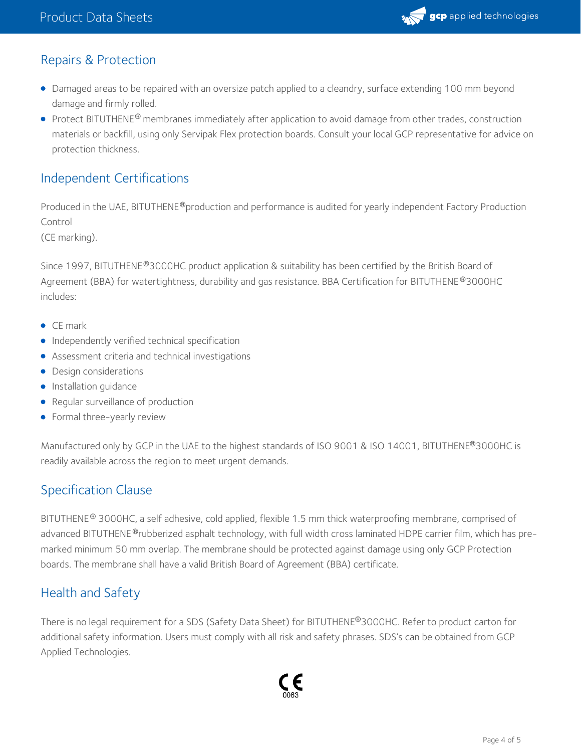

#### Repairs & Protection

- Damaged areas to be repaired with an oversize patch applied to a cleandry, surface extending 100 mm beyond damage and firmly rolled.
- Protect BITUTHENE® membranes immediately after application to avoid damage from other trades, construction materials or backfill, using only Servipak Flex protection boards. Consult your local GCP representative for advice on protection thickness.

#### Independent Certifications

Produced in the UAE, BITUTHENE®production and performance is audited for yearly independent Factory Production Control

(CE marking).

Since 1997, BITUTHENE®3000HC product application & suitability has been certified by the British Board of Agreement (BBA) for watertightness, durability and gas resistance. BBA Certification for BITUTHENE®3000HC includes:

- CE mark
- **•** Independently verified technical specification
- Assessment criteria and technical investigations
- **•** Design considerations
- **·** Installation guidance
- Regular surveillance of production
- Formal three-yearly review

Manufactured only by GCP in the UAE to the highest standards of ISO 9001 & ISO 14001, BITUTHENE®3000HC is readily available across the region to meet urgent demands.

# Specification Clause

BITUTHENE® 3000HC, a self adhesive, cold applied, flexible 1.5 mm thick waterproofing membrane, comprised of advanced BITUTHENE ®rubberized asphalt technology, with full width cross laminated HDPE carrier film, which has premarked minimum 50 mm overlap. The membrane should be protected against damage using only GCP Protection boards. The membrane shall have a valid British Board of Agreement (BBA) certificate.

# Health and Safety

There is no legal requirement for a SDS (Safety Data Sheet) for BITUTHENE®3000HC. Refer to product carton for additional safety information. Users must comply with all risk and safety phrases. SDS's can be obtained from GCP Applied Technologies.